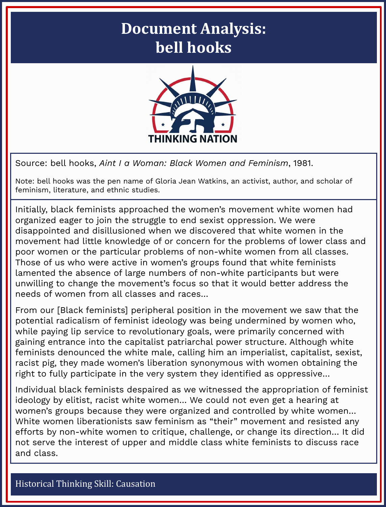## **Document Analysis: bell hooks**



Source: bell hooks, *Aint I a Woman: Black Women and Feminism*, 1981.

Note: bell hooks was the pen name of Gloria Jean Watkins, an activist, author, and scholar of feminism, literature, and ethnic studies.

Initially, black feminists approached the women's movement white women had organized eager to join the struggle to end sexist oppression. We were disappointed and disillusioned when we discovered that white women in the movement had little knowledge of or concern for the problems of lower class and poor women or the particular problems of non-white women from all classes. Those of us who were active in women's groups found that white feminists lamented the absence of large numbers of non-white participants but were unwilling to change the movement's focus so that it would better address the needs of women from all classes and races…

From our [Black feminists] peripheral position in the movement we saw that the potential radicalism of feminist ideology was being undermined by women who, while paying lip service to revolutionary goals, were primarily concerned with gaining entrance into the capitalist patriarchal power structure. Although white feminists denounced the white male, calling him an imperialist, capitalist, sexist, racist pig, they made women's liberation synonymous with women obtaining the right to fully participate in the very system they identified as oppressive…

Individual black feminists despaired as we witnessed the appropriation of feminist ideology by elitist, racist white women… We could not even get a hearing at women's groups because they were organized and controlled by white women… White women liberationists saw feminism as "their" movement and resisted any efforts by non-white women to critique, challenge, or change its direction… It did not serve the interest of upper and middle class white feminists to discuss race and class.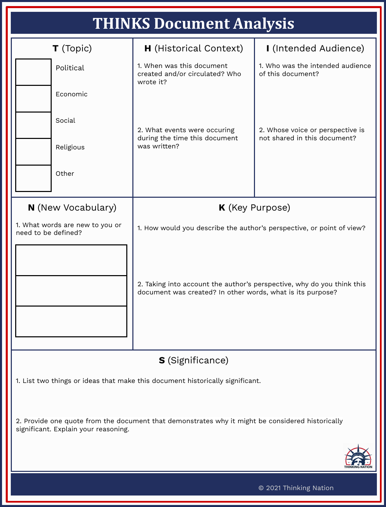| <b>THINKS Document Analysis</b> |  |
|---------------------------------|--|
|                                 |  |

| THINKS DOCUMENT AMALYSIS                                                                                                                 |                                                                                                                                                                                                               |                                                                  |  |
|------------------------------------------------------------------------------------------------------------------------------------------|---------------------------------------------------------------------------------------------------------------------------------------------------------------------------------------------------------------|------------------------------------------------------------------|--|
| T (Topic)                                                                                                                                | <b>H</b> (Historical Context)                                                                                                                                                                                 | I (Intended Audience)                                            |  |
| Political                                                                                                                                | 1. When was this document<br>created and/or circulated? Who<br>wrote it?                                                                                                                                      | 1. Who was the intended audience<br>of this document?            |  |
| Economic                                                                                                                                 |                                                                                                                                                                                                               | 2. Whose voice or perspective is<br>not shared in this document? |  |
| Social                                                                                                                                   | 2. What events were occuring<br>during the time this document                                                                                                                                                 |                                                                  |  |
| Religious                                                                                                                                | was written?                                                                                                                                                                                                  |                                                                  |  |
| Other                                                                                                                                    |                                                                                                                                                                                                               |                                                                  |  |
| <b>N</b> (New Vocabulary)                                                                                                                | K (Key Purpose)                                                                                                                                                                                               |                                                                  |  |
| 1. What words are new to you or<br>need to be defined?                                                                                   | 1. How would you describe the author's perspective, or point of view?<br>2. Taking into account the author's perspective, why do you think this<br>document was created? In other words, what is its purpose? |                                                                  |  |
|                                                                                                                                          |                                                                                                                                                                                                               |                                                                  |  |
| <b>S</b> (Significance)                                                                                                                  |                                                                                                                                                                                                               |                                                                  |  |
| 1. List two things or ideas that make this document historically significant.                                                            |                                                                                                                                                                                                               |                                                                  |  |
| 2. Provide one quote from the document that demonstrates why it might be considered historically<br>significant. Explain your reasoning. |                                                                                                                                                                                                               |                                                                  |  |
|                                                                                                                                          |                                                                                                                                                                                                               |                                                                  |  |
| © 2021 Thinking Nation                                                                                                                   |                                                                                                                                                                                                               |                                                                  |  |